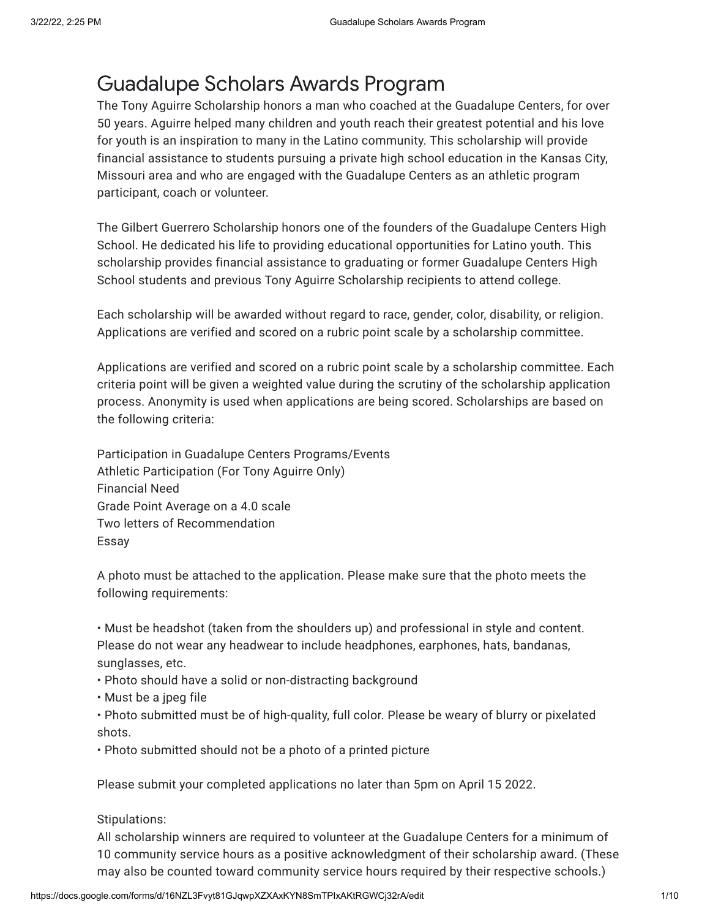# Guadalupe Scholars Awards Program

The Tony Aguirre Scholarship honors a man who coached at the Guadalupe Centers, for over 50 years. Aguirre helped many children and youth reach their greatest potential and his love for youth is an inspiration to many in the Latino community. This scholarship will provide financial assistance to students pursuing a private high school education in the Kansas City, Missouri area and who are engaged with the Guadalupe Centers as an athletic program participant, coach or volunteer.

The Gilbert Guerrero Scholarship honors one of the founders of the Guadalupe Centers High School. He dedicated his life to providing educational opportunities for Latino youth. This scholarship provides financial assistance to graduating or former Guadalupe Centers High School students and previous Tony Aguirre Scholarship recipients to attend college.

Each scholarship will be awarded without regard to race, gender, color, disability, or religion. Applications are verified and scored on a rubric point scale by a scholarship committee.

Applications are verified and scored on a rubric point scale by a scholarship committee. Each criteria point will be given a weighted value during the scrutiny of the scholarship application process. Anonymity is used when applications are being scored. Scholarships are based on the following criteria:

Participation in Guadalupe Centers Programs/Events Athletic Participation (For Tony Aguirre Only) Financial Need Grade Point Average on a 4.0 scale Two letters of Recommendation Essay

A photo must be attached to the application. Please make sure that the photo meets the following requirements:

• Must be headshot (taken from the shoulders up) and professional in style and content. Please do not wear any headwear to include headphones, earphones, hats, bandanas, sunglasses, etc.

- Photo should have a solid or non-distracting background
- Must be a jpeg file

• Photo submitted must be of high-quality, full color. Please be weary of blurry or pixelated shots.

• Photo submitted should not be a photo of a printed picture

Please submit your completed applications no later than 5pm on April 15 2022.

### Stipulations:

All scholarship winners are required to volunteer at the Guadalupe Centers for a minimum of 10 community service hours as a positive acknowledgment of their scholarship award. (These may also be counted toward community service hours required by their respective schools.)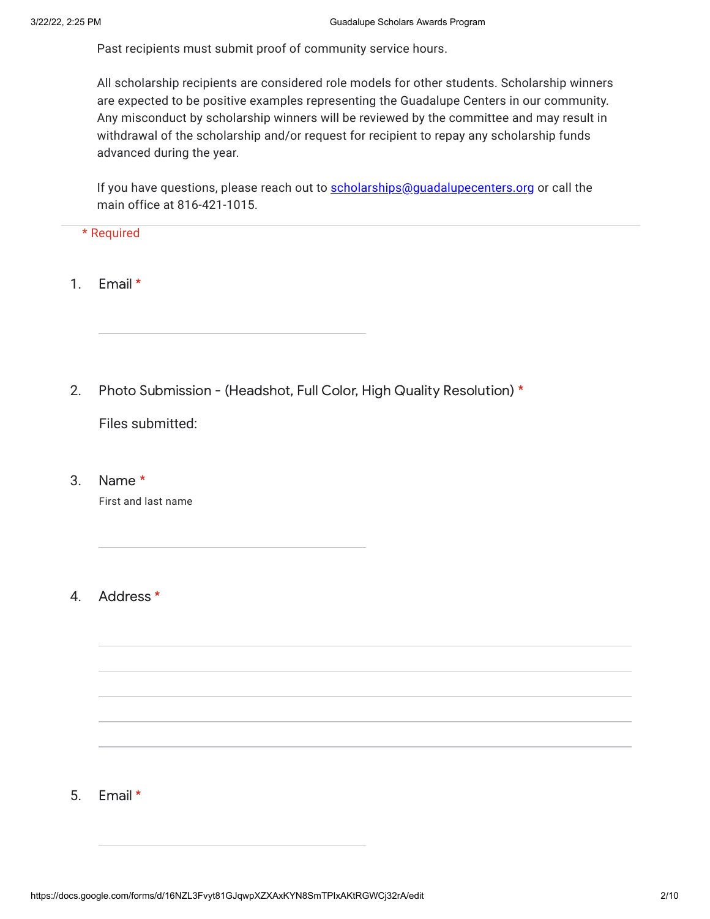Past recipients must submit proof of community service hours.

All scholarship recipients are considered role models for other students. Scholarship winners are expected to be positive examples representing the Guadalupe Centers in our community. Any misconduct by scholarship winners will be reviewed by the committee and may result in withdrawal of the scholarship and/or request for recipient to repay any scholarship funds advanced during the year.

If you have questions, please reach out to **[scholarships@guadalupecenters.org](mailto:scholarships@guadalupecenters.org)** or call the main office at 816-421-1015.

### \* Required

- 1. Email \*
- 2. Photo Submission - (Headshot, Full Color, High Quality Resolution) \*

Files submitted:

3. Name \*

First and last name

#### 4. Address \*

#### 5. Email \*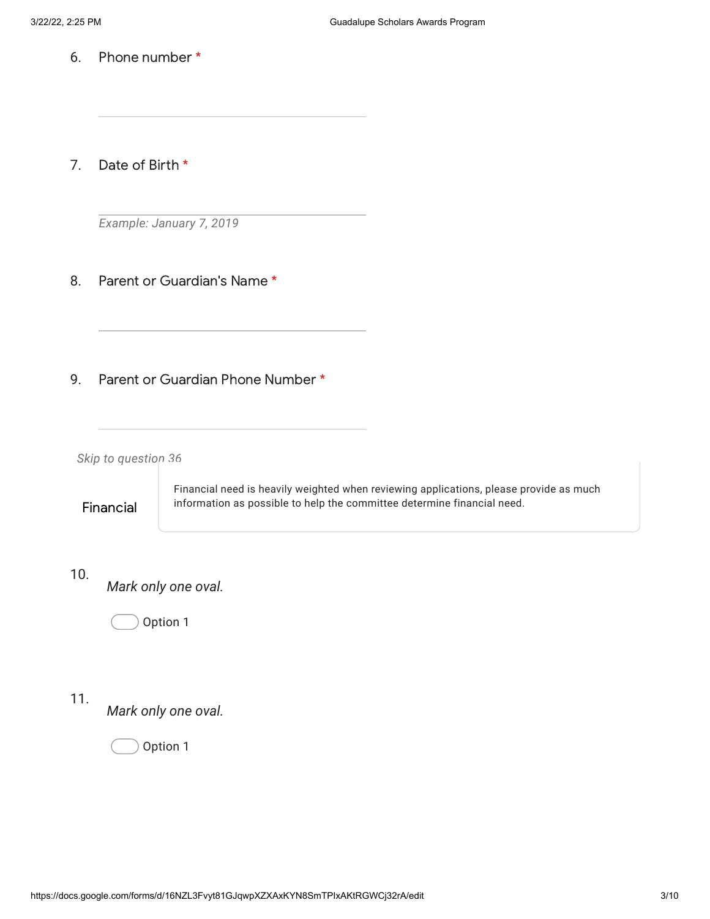6. Phone number \*

7. Date of Birth \*

*Example: January 7, 2019*

- 8. Parent or Guardian's Name \*
- 9. Parent or Guardian Phone Number \*

*Skip to question 36*

Financial

Financial need is heavily weighted when reviewing applications, please provide as much information as possible to help the committee determine financial need.

## 10.

*Mark only one oval.*

Option 1

# 11.

*Mark only one oval.*

Option 1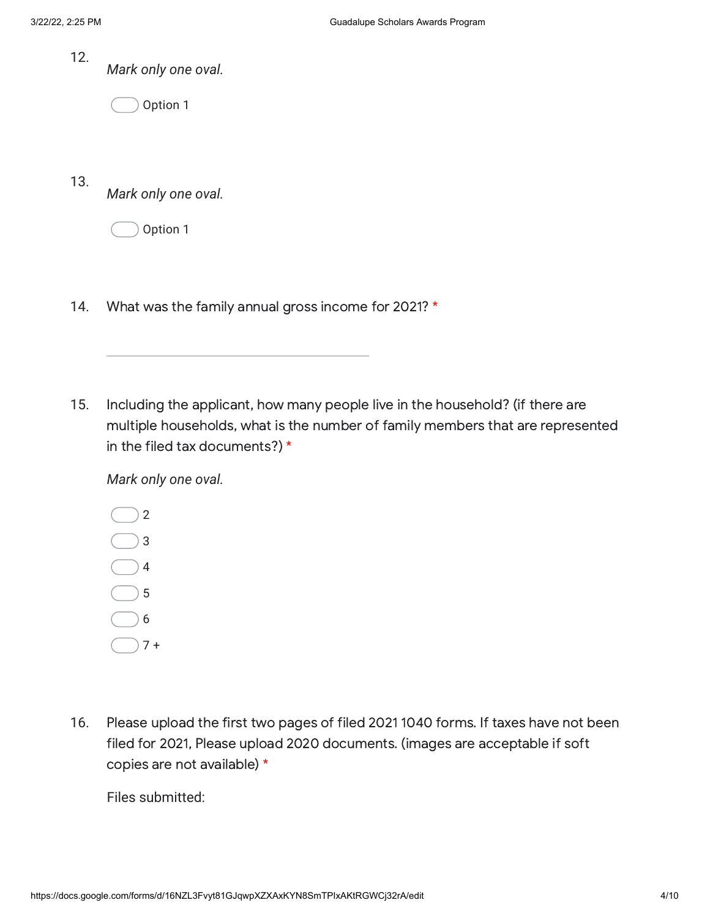12. *Mark only one oval.*

Option 1

13. *Mark only one oval.*

Option 1

- 14. What was the family annual gross income for 2021? \*
- 15. Including the applicant, how many people live in the household? (if there are multiple households, what is the number of family members that are represented in the filed tax documents?) \*

*Mark only one oval.*



16. Please upload the first two pages of filed 2021 1040 forms. If taxes have not been filed for 2021, Please upload 2020 documents. (images are acceptable if soft copies are not available) \*

Files submitted: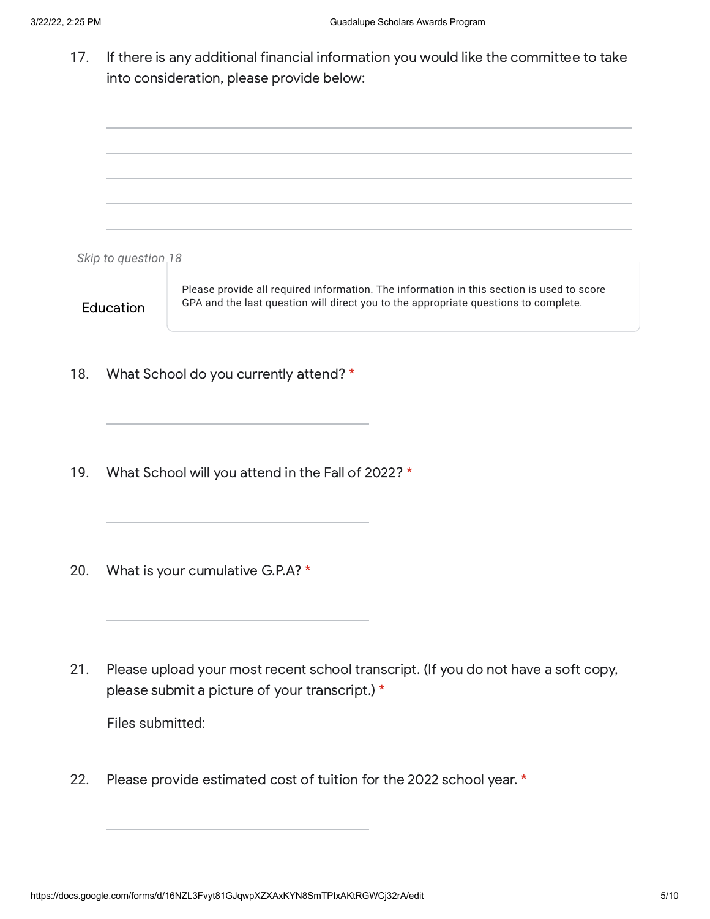17. If there is any additional financial information you would like the committee to take into consideration, please provide below:

*Skip to question 18* **Education** Please provide all required information. The information in this section is used to score GPA and the last question will direct you to the appropriate questions to complete. 18. 19. 20. What School do you currently attend? \* What School will you attend in the Fall of 2022? \* What is your cumulative G.P.A? \*

21. Please upload your most recent school transcript. (If you do not have a soft copy, please submit a picture of your transcript.) \*

Files submitted:

22. Please provide estimated cost of tuition for the 2022 school year. \*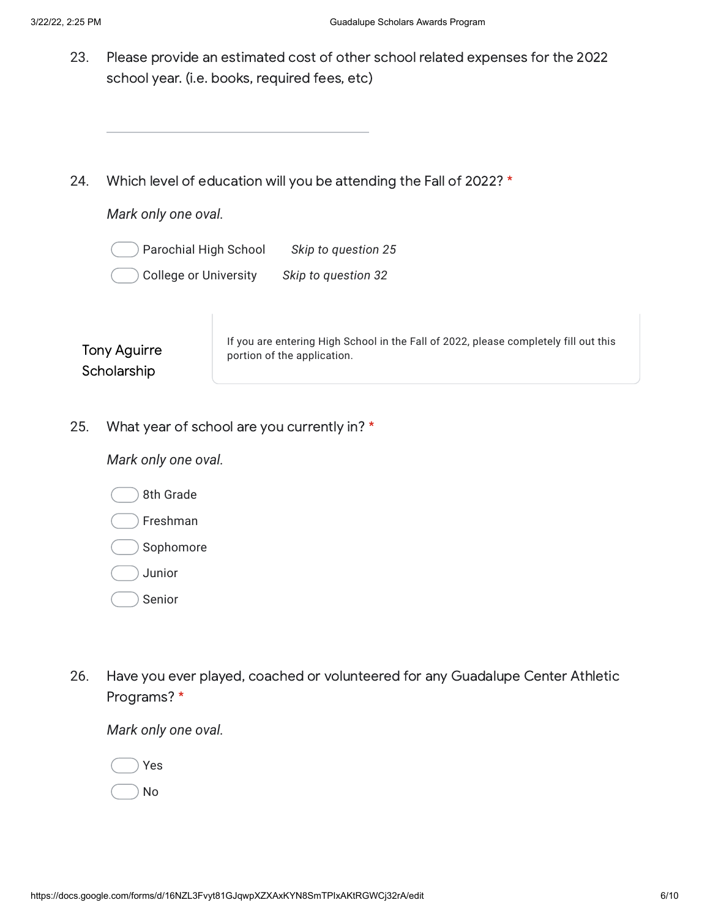- 23. Please provide an estimated cost of other school related expenses for the 2022 school year. (i.e. books, required fees, etc)
- 24. Which level of education will you be attending the Fall of 2022? \*

*Mark only one oval.*

Parochial High School *Skip to question 25*

College or University *Skip to question 32*

Tony Aguirre **Scholarship** 

If you are entering High School in the Fall of 2022, please completely fill out this portion of the application.

25. What year of school are you currently in? \*

*Mark only one oval.*

8th Grade

Freshman

Sophomore

Junior

Senior

26. Have you ever played, coached or volunteered for any Guadalupe Center Athletic Programs? \*

*Mark only one oval.*

Yes

No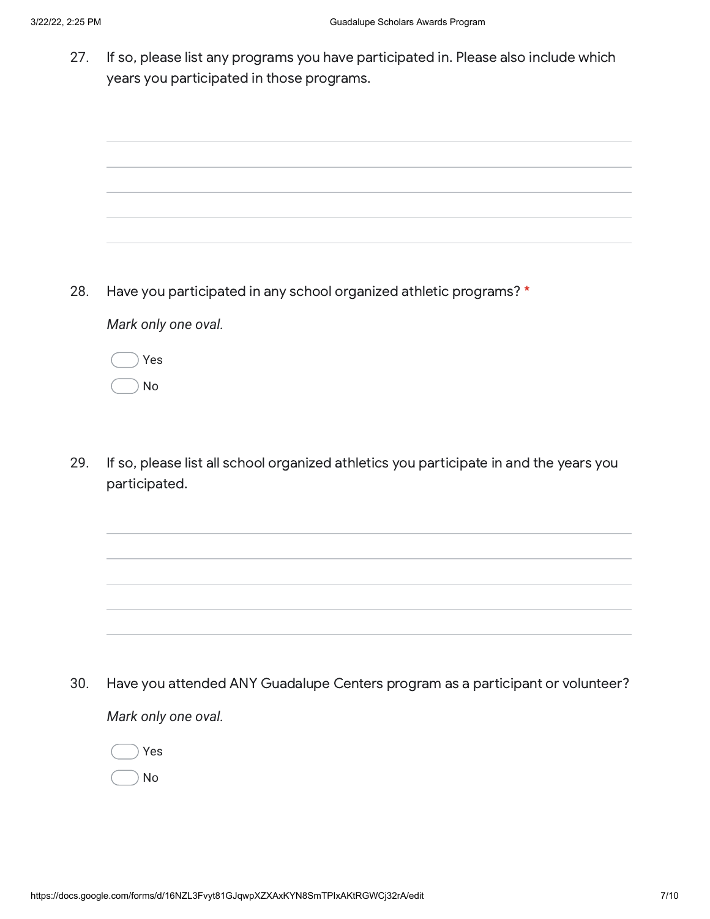27. If so, please list any programs you have participated in. Please also include which years you participated in those programs.



28. Have you participated in any school organized athletic programs? \*

*Mark only one oval.*

Yes No

29. If so, please list all school organized athletics you participate in and the years you participated.

30. *Mark only one oval.* Have you attended ANY Guadalupe Centers program as a participant or volunteer?

Yes No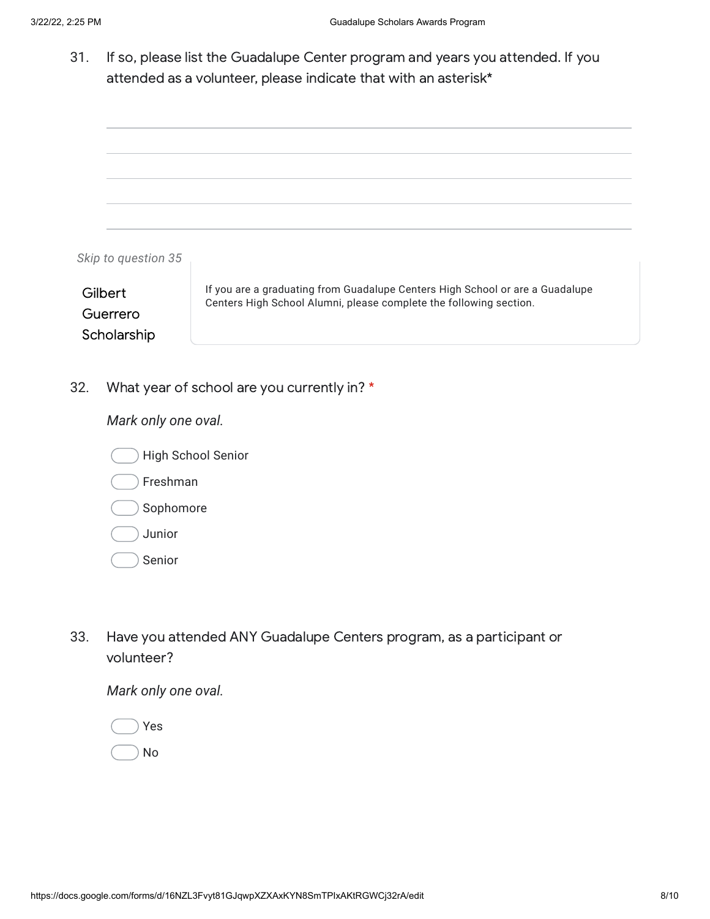31. If so, please list the Guadalupe Center program and years you attended. If you attended as a volunteer, please indicate that with an asterisk\*



32. What year of school are you currently in? \*

*Mark only one oval.*



- Freshman
- Sophomore
- Junior
- Senior
- 33. Have you attended ANY Guadalupe Centers program, as a participant or volunteer?

*Mark only one oval.*

Yes No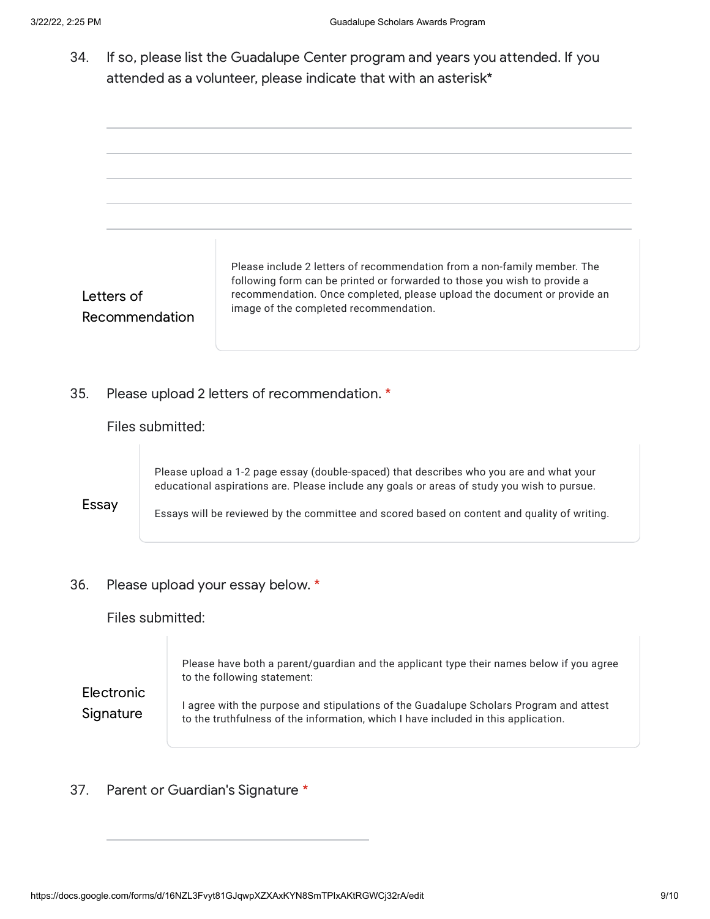| 34.                                                                     |                                                       |                                                                                                                                                                                                                                                                                        | If so, please list the Guadalupe Center program and years you attended. If you<br>attended as a volunteer, please indicate that with an asterisk*                                                                                                                                                       |
|-------------------------------------------------------------------------|-------------------------------------------------------|----------------------------------------------------------------------------------------------------------------------------------------------------------------------------------------------------------------------------------------------------------------------------------------|---------------------------------------------------------------------------------------------------------------------------------------------------------------------------------------------------------------------------------------------------------------------------------------------------------|
| Letters of<br>Recommendation                                            |                                                       |                                                                                                                                                                                                                                                                                        | Please include 2 letters of recommendation from a non-family member. The<br>following form can be printed or forwarded to those you wish to provide a<br>recommendation. Once completed, please upload the document or provide an<br>image of the completed recommendation.                             |
| 35.<br>Please upload 2 letters of recommendation. *<br>Files submitted: |                                                       |                                                                                                                                                                                                                                                                                        |                                                                                                                                                                                                                                                                                                         |
| Essay                                                                   |                                                       | Please upload a 1-2 page essay (double-spaced) that describes who you are and what your<br>educational aspirations are. Please include any goals or areas of study you wish to pursue.<br>Essays will be reviewed by the committee and scored based on content and quality of writing. |                                                                                                                                                                                                                                                                                                         |
| 36.                                                                     | Please upload your essay below. *<br>Files submitted: |                                                                                                                                                                                                                                                                                        |                                                                                                                                                                                                                                                                                                         |
| Electronic<br>Signature                                                 |                                                       |                                                                                                                                                                                                                                                                                        | Please have both a parent/guardian and the applicant type their names below if you agree<br>to the following statement:<br>I agree with the purpose and stipulations of the Guadalupe Scholars Program and attest<br>to the truthfulness of the information, which I have included in this application. |

# 37. Parent or Guardian's Signature \*